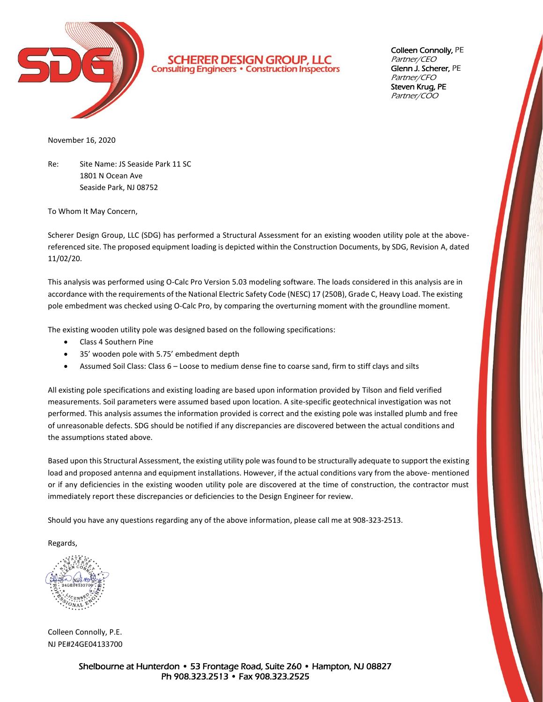

**SCHERER DESIGN GROUP, LLC**<br>Consulting Engineers · Construction Inspectors

Colleen Connolly, PE Partner/CEO Glenn J. Scherer, PE Partner/CFO Steven Krug, PE Partner/COO

November 16, 2020

Re: Site Name: JS Seaside Park 11 SC 1801 N Ocean Ave Seaside Park, NJ 08752

To Whom It May Concern,

Scherer Design Group, LLC (SDG) has performed a Structural Assessment for an existing wooden utility pole at the abovereferenced site. The proposed equipment loading is depicted within the Construction Documents, by SDG, Revision A, dated 11/02/20.

This analysis was performed using O-Calc Pro Version 5.03 modeling software. The loads considered in this analysis are in accordance with the requirements of the National Electric Safety Code (NESC) 17 (250B), Grade C, Heavy Load. The existing pole embedment was checked using O-Calc Pro, by comparing the overturning moment with the groundline moment.

The existing wooden utility pole was designed based on the following specifications:

- Class 4 Southern Pine
- 35' wooden pole with 5.75' embedment depth
- Assumed Soil Class: Class 6 Loose to medium dense fine to coarse sand, firm to stiff clays and silts

All existing pole specifications and existing loading are based upon information provided by Tilson and field verified measurements. Soil parameters were assumed based upon location. A site-specific geotechnical investigation was not performed. This analysis assumes the information provided is correct and the existing pole was installed plumb and free of unreasonable defects. SDG should be notified if any discrepancies are discovered between the actual conditions and the assumptions stated above.

Based upon this Structural Assessment, the existing utility pole was found to be structurally adequate to support the existing load and proposed antenna and equipment installations. However, if the actual conditions vary from the above- mentioned or if any deficiencies in the existing wooden utility pole are discovered at the time of construction, the contractor must immediately report these discrepancies or deficiencies to the Design Engineer for review.

Should you have any questions regarding any of the above information, please call me at 908-323-2513.

Regards,

Colleen Connolly, P.E. NJ PE#24GE04133700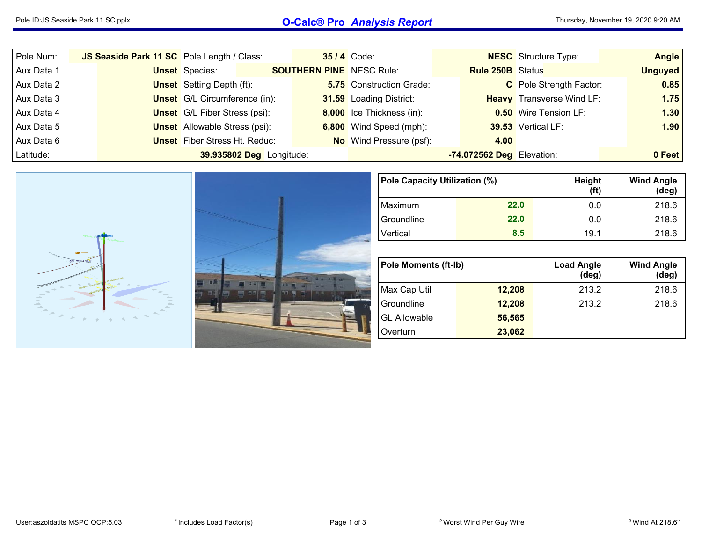## Pole ID:JS Seaside Park <sup>11</sup> SC.pplx **O-Calc® Pro** *Analysis Report*

| Pole Num:  | JS Seaside Park 11 SC Pole Length / Class: |                                      |                                 | <b>35/4 Code:</b>               |                           | <b>NESC</b> Structure Type:      | Angle          |
|------------|--------------------------------------------|--------------------------------------|---------------------------------|---------------------------------|---------------------------|----------------------------------|----------------|
| Aux Data 1 |                                            | <b>Unset</b> Species:                | <b>SOUTHERN PINE</b> NESC Rule: |                                 | <b>Rule 250B</b> Status   |                                  | <b>Unguyed</b> |
| Aux Data 2 |                                            | <b>Unset</b> Setting Depth (ft):     |                                 | <b>5.75</b> Construction Grade: |                           | C Pole Strength Factor:          | 0.85           |
| Aux Data 3 |                                            | <b>Unset</b> G/L Circumference (in): |                                 | 31.59 Loading District:         |                           | <b>Heavy</b> Transverse Wind LF: | 1.75           |
| Aux Data 4 |                                            | <b>Unset</b> G/L Fiber Stress (psi): |                                 | 8,000 Ice Thickness (in):       |                           | <b>0.50</b> Wire Tension LF:     | 1.30           |
| Aux Data 5 |                                            | <b>Unset</b> Allowable Stress (psi): |                                 | 6,800 Wind Speed (mph):         |                           | 39.53 Vertical LF:               | 1.90           |
| Aux Data 6 |                                            | <b>Unset</b> Fiber Stress Ht. Reduc: |                                 | <b>No</b> Wind Pressure (psf):  | 4.00                      |                                  |                |
| Latitude:  |                                            | 39.935802 Deg Longitude:             |                                 |                                 | -74.072562 Deg Elevation: |                                  | 0 Feet         |



| Pole Capacity Utilization (%) |      | <b>Height</b><br>(ft) | <b>Wind Angle</b><br>$(\text{deg})$ |
|-------------------------------|------|-----------------------|-------------------------------------|
| Maximum                       | 22.0 | 0.0                   | 218.6                               |
| Groundline                    | 22.0 | 0.0                   | 218.6                               |
| Vertical                      | 8.5  | 19.1                  | 218.6                               |

| <b>Pole Moments (ft-Ib)</b> |        | <b>Load Angle</b><br>$(\text{deg})$ | <b>Wind Angle</b><br>(deg) |
|-----------------------------|--------|-------------------------------------|----------------------------|
| Max Cap Util                | 12,208 | 213.2                               | 218.6                      |
| Groundline                  | 12,208 | 213.2                               | 218.6                      |
| <b>GL Allowable</b>         | 56,565 |                                     |                            |
| Overturn                    | 23,062 |                                     |                            |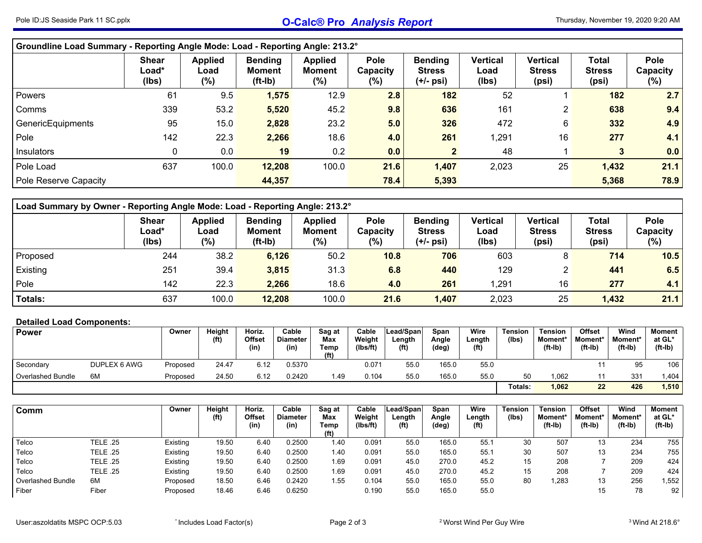| Groundline Load Summary - Reporting Angle Mode: Load - Reporting Angle: 213.2° |                                |                                  |                                       |                                     |                                    |                                                |                                  |                                    |                                        |                                   |
|--------------------------------------------------------------------------------|--------------------------------|----------------------------------|---------------------------------------|-------------------------------------|------------------------------------|------------------------------------------------|----------------------------------|------------------------------------|----------------------------------------|-----------------------------------|
|                                                                                | <b>Shear</b><br>Load*<br>(lbs) | <b>Applied</b><br>Load<br>$(\%)$ | <b>Bending</b><br>Moment<br>$(ft-lb)$ | <b>Applied</b><br>Moment<br>$(\% )$ | <b>Pole</b><br>Capacity<br>$(\% )$ | <b>Bending</b><br><b>Stress</b><br>$(+/-$ psi) | <b>Vertical</b><br>Load<br>(Ibs) | Vertical<br><b>Stress</b><br>(psi) | <b>Total</b><br><b>Stress</b><br>(psi) | <b>Pole</b><br>Capacity<br>$(\%)$ |
| Powers                                                                         | 61                             | 9.5                              | 1,575                                 | 12.9                                | 2.8                                | 182                                            | 52                               |                                    | 182                                    | 2.7                               |
| Comms                                                                          | 339                            | 53.2                             | 5,520                                 | 45.2                                | 9.8                                | 636                                            | 161                              | $\mathbf{2}^{\prime}$              | 638                                    | 9.4                               |
| GenericEquipments                                                              | 95                             | 15.0                             | 2,828                                 | 23.2                                | 5.0                                | 326                                            | 472                              | 6                                  | 332                                    | 4.9                               |
| Pole                                                                           | 142                            | 22.3                             | 2,266                                 | 18.6                                | 4.0                                | 261                                            | 1,291                            | 16                                 | 277                                    | 4.1                               |
| Insulators                                                                     | 0                              | 0.0                              | 19                                    | 0.2                                 | 0.0                                |                                                | 48                               |                                    | 3                                      | 0.0                               |
| Pole Load                                                                      | 637                            | 100.0                            | 12,208                                | 100.0                               | 21.6                               | 1,407                                          | 2,023                            | 25                                 | 1,432                                  | 21.1                              |
| Pole Reserve Capacity                                                          |                                |                                  | 44,357                                |                                     | 78.4                               | 5,393                                          |                                  |                                    | 5,368                                  | 78.9                              |

|                | Load Summary by Owner - Reporting Angle Mode: Load - Reporting Angle: 213.2°                                                                                                                                                                                                                                                                                                                               |       |        |       |      |       |       |    |       |      |  |  |  |  |  |
|----------------|------------------------------------------------------------------------------------------------------------------------------------------------------------------------------------------------------------------------------------------------------------------------------------------------------------------------------------------------------------------------------------------------------------|-------|--------|-------|------|-------|-------|----|-------|------|--|--|--|--|--|
|                | <b>Applied</b><br><b>Bending</b><br><b>Bending</b><br>Vertical<br>Pole<br><b>Applied</b><br><b>Pole</b><br><b>Vertical</b><br><b>Total</b><br><b>Shear</b><br>Load*<br><b>Stress</b><br><b>Stress</b><br><b>Stress</b><br><b>Moment</b><br>Capacity<br>Load<br>Load<br><b>Moment</b><br>Capacity<br>$(\% )$<br>(lbs)<br>$(ft-lb)$<br>$(\%)$<br>(lbs)<br>$(\%)$<br>(psi)<br>$(\% )$<br>(psi)<br>$(+/-$ psi) |       |        |       |      |       |       |    |       |      |  |  |  |  |  |
| Proposed       | 244                                                                                                                                                                                                                                                                                                                                                                                                        | 38.2  | 6,126  | 50.2  | 10.8 | 706   | 603   | 8  | 714   | 10.5 |  |  |  |  |  |
| Existing       | 251                                                                                                                                                                                                                                                                                                                                                                                                        | 39.4  | 3,815  | 31.3  | 6.8  | 440   | 129   |    | 441   | 6.5  |  |  |  |  |  |
| Pole           | 142                                                                                                                                                                                                                                                                                                                                                                                                        | 22.3  | 2,266  | 18.6  | 4.0  | 261   | 291.ا | 16 | 277   | 4.1  |  |  |  |  |  |
| <b>Totals:</b> | 637                                                                                                                                                                                                                                                                                                                                                                                                        | 100.0 | 12,208 | 100.0 | 21.6 | 1,407 | 2,023 | 25 | 1,432 | 21.1 |  |  |  |  |  |

## **Detailed Load Components:**

| <b>Power</b>             |              | Owner    | Height<br>(f <sup>t</sup> ) | Horiz.<br>Offset<br>(in) | Cable<br>Diameter<br>(in) | Sag at<br>Max<br>Геmр<br>(ft) | Cable<br>Weight<br>(Ibs/ft) | Lead/Spanl<br>Length<br>(f <sup>t</sup> ) | Span<br>Angle<br>(deg) | Wire<br>Length<br>(f <sup>t</sup> ) | Tension<br>(lbs) | <b>Tension</b><br><b>Moment*</b><br>$(ft-lb)$ | <b>Offset</b><br>Moment*<br>$(ft-lb)$ | Wind<br>Moment*<br>$(ft-lb)$ | <b>Moment</b><br>at GL*<br>$(ft-lb)$ |
|--------------------------|--------------|----------|-----------------------------|--------------------------|---------------------------|-------------------------------|-----------------------------|-------------------------------------------|------------------------|-------------------------------------|------------------|-----------------------------------------------|---------------------------------------|------------------------------|--------------------------------------|
| Secondary                | DUPLEX 6 AWG | Proposed | 24.47                       | 6.12                     | 0.5370                    |                               | 0.071                       | 55.0                                      | 165.0                  | 55.0                                |                  |                                               |                                       | 95                           | 106                                  |
| <b>Overlashed Bundle</b> | 6M           | Proposed | 24.50                       | 6.12                     | ).2420                    | 1.49                          | 0.104                       | 55.0                                      | 165.0                  | 55.0                                | 50               | .062                                          |                                       | 331                          | .404                                 |
|                          |              |          |                             |                          |                           |                               |                             |                                           |                        |                                     | Totals:          | 1,062                                         | 22                                    | 426                          | 1,510                                |

| Comm              |          | Owner    | Height<br>(ft) | Horiz.<br>Offset<br>(in) | Cable<br><b>Diameter</b><br>(in) | Sag at<br>Max<br>Temp<br>(f <sup>t</sup> ) | Cable<br>Weight<br>(Ibs/ft) | Lead/Span<br>Length<br>(f <sup>t</sup> ) | Span<br>Angle<br>(deg) | Wire<br>Length<br>(ft) | <b>Tension</b><br>(Ibs) | <b>Tension</b><br><b>Moment</b><br>$(ft-lb)$ | Offset<br>Moment*<br>$(ft-lb)$ | Wind<br>Moment*<br>$(ft-lb)$ | <b>Moment</b><br>at GL*<br>$(ft-lb)$ |
|-------------------|----------|----------|----------------|--------------------------|----------------------------------|--------------------------------------------|-----------------------------|------------------------------------------|------------------------|------------------------|-------------------------|----------------------------------------------|--------------------------------|------------------------------|--------------------------------------|
| Telco             | TELE .25 | Existing | 19.50          | 6.40                     | 0.2500                           | 1.40                                       | 0.091                       | 55 <sub>c</sub>                          | 165.0                  | 55.1                   | 30                      | 507                                          |                                | 234                          | 755                                  |
| Telco             | TELE .25 | Existing | 19.50          | 6.40                     | 0.2500                           | 1.40                                       | 0.091                       | 55.0                                     | 165.0                  | 55.1                   | 30                      | 507                                          |                                | 234                          | 755                                  |
| Telco             | TELE .25 | Existing | 19.50          | 6.40                     | 0.2500                           | 1.69                                       | 0.091                       | 45.0                                     | 270.0                  | 45.2                   | 15                      | 208                                          |                                | 209                          | 424                                  |
| Telco             | TELE .25 | Existing | 19.50          | 6.40                     | 0.2500                           | 1.69                                       | 0.091                       | 45.0                                     | 270.0                  | 45.2                   | 15                      | 208                                          |                                | 209                          | 424                                  |
| Overlashed Bundle | 6M       | Proposed | 18.50          | 6.46                     | 0.2420                           | 1.55                                       | 0.104                       | 55 <sub>c</sub>                          | 165.0                  | 55.0                   | 80                      | .283                                         |                                | 256                          | 1,552                                |
| Fiber             | Fiber    | Proposed | 18.46          | 6.46                     | 0.6250                           |                                            | 0.190                       | 55.C                                     | 165.0                  | 55.0                   |                         |                                              |                                | 78                           | 92                                   |